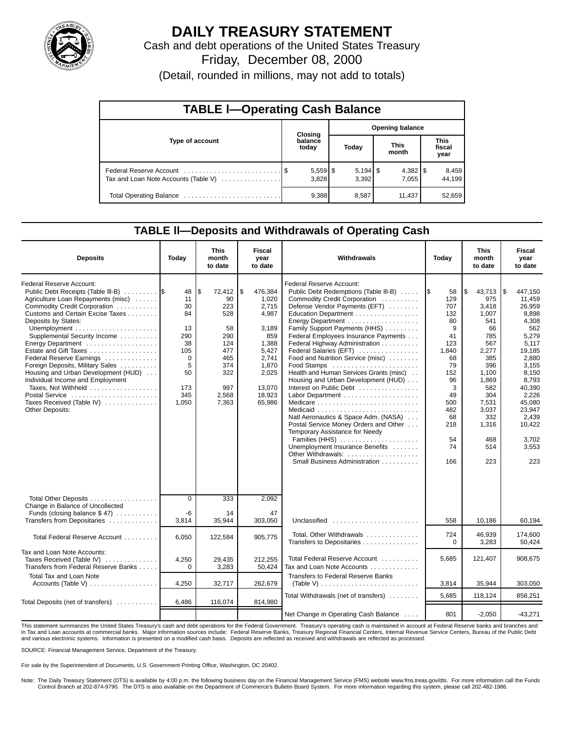

# **DAILY TREASURY STATEMENT**

Cash and debt operations of the United States Treasury Friday, December 08, 2000

(Detail, rounded in millions, may not add to totals)

| <b>TABLE I-Operating Cash Balance</b> |  |                     |                        |       |  |                       |  |                               |  |  |
|---------------------------------------|--|---------------------|------------------------|-------|--|-----------------------|--|-------------------------------|--|--|
|                                       |  | <b>Closing</b>      | <b>Opening balance</b> |       |  |                       |  |                               |  |  |
| Type of account                       |  | balance<br>today    |                        | Today |  | <b>This</b><br>month  |  | <b>This</b><br>fiscal<br>year |  |  |
| Tax and Loan Note Accounts (Table V)  |  | $5,559$ \$<br>3.828 |                        | 3.392 |  | $4,382$   \$<br>7.055 |  | 8,459<br>44.199               |  |  |
|                                       |  | 9,388               |                        | 8,587 |  | 11,437                |  | 52,659                        |  |  |

### **TABLE ll—Deposits and Withdrawals of Operating Cash**

| <b>Deposits</b>                                                                                                                                                                                                                                                                                                                                                                                                                                                                                                   | Today                                                                                        | <b>This</b><br>month<br>to date                                                                            | Fiscal<br>year<br>to date                                                                                                           | Withdrawals                                                                                                                                                                                                                                                                                                                                                                                                                                                                                                                                                                                                                                                                                     | Today                                                                                                                                      | <b>This</b><br>month<br>to date                                                                                                                                                  | Fiscal<br>year<br>to date                                                                                                                                                                                       |
|-------------------------------------------------------------------------------------------------------------------------------------------------------------------------------------------------------------------------------------------------------------------------------------------------------------------------------------------------------------------------------------------------------------------------------------------------------------------------------------------------------------------|----------------------------------------------------------------------------------------------|------------------------------------------------------------------------------------------------------------|-------------------------------------------------------------------------------------------------------------------------------------|-------------------------------------------------------------------------------------------------------------------------------------------------------------------------------------------------------------------------------------------------------------------------------------------------------------------------------------------------------------------------------------------------------------------------------------------------------------------------------------------------------------------------------------------------------------------------------------------------------------------------------------------------------------------------------------------------|--------------------------------------------------------------------------------------------------------------------------------------------|----------------------------------------------------------------------------------------------------------------------------------------------------------------------------------|-----------------------------------------------------------------------------------------------------------------------------------------------------------------------------------------------------------------|
| Federal Reserve Account:<br>Public Debt Receipts (Table III-B)<br>Agriculture Loan Repayments (misc)<br>Commodity Credit Corporation<br>Customs and Certain Excise Taxes<br>Deposits by States:<br>Supplemental Security Income<br>Energy Department<br>Estate and Gift Taxes<br>Federal Reserve Earnings<br>Foreign Deposits, Military Sales<br>Housing and Urban Development (HUD)<br>Individual Income and Employment<br>Taxes, Not Withheld<br>Postal Service<br>Taxes Received (Table IV)<br>Other Deposits: | 48<br>11<br>30<br>84<br>13<br>290<br>38<br>105<br>$\Omega$<br>5<br>50<br>173<br>345<br>1,050 | l\$<br>72,412<br>90<br>223<br>528<br>58<br>290<br>124<br>477<br>465<br>374<br>322<br>997<br>2,568<br>7,363 | \$<br>476,384<br>1.020<br>2,715<br>4,987<br>3,189<br>859<br>1,388<br>5.427<br>2.741<br>1.870<br>2,025<br>13,070<br>18,923<br>65,986 | Federal Reserve Account:<br>Public Debt Redemptions (Table III-B)<br>Commodity Credit Corporation<br>Defense Vendor Payments (EFT)<br>Education Department<br>Family Support Payments (HHS)<br>Federal Employees Insurance Payments<br>Federal Highway Administration<br>Federal Salaries (EFT)<br>Food and Nutrition Service (misc)<br>Food Stamps<br>Health and Human Services Grants (misc)<br>Housing and Urban Development (HUD)<br>Interest on Public Debt<br>Natl Aeronautics & Space Adm. (NASA)<br>Postal Service Money Orders and Other<br>Temporary Assistance for Needy<br>Families (HHS)<br>Unemployment Insurance Benefits<br>Other Withdrawals:<br>Small Business Administration | 58<br>129<br>707<br>132<br>80<br>9<br>41<br>123<br>1,840<br>68<br>79<br>152<br>96<br>3<br>49<br>500<br>482<br>68<br>218<br>54<br>74<br>166 | 43,713<br>ا \$<br>975<br>3.418<br>1,007<br>541<br>66<br>785<br>567<br>2,277<br>385<br>396<br>1.100<br>1.869<br>582<br>304<br>7,531<br>3,037<br>332<br>1,316<br>468<br>514<br>223 | 447,150<br>l \$<br>11.459<br>26,959<br>8.898<br>4,308<br>562<br>5,279<br>5.117<br>19.185<br>2.880<br>3.155<br>8,150<br>8.793<br>40,390<br>2,226<br>45,080<br>23,947<br>2,439<br>10,422<br>3,702<br>3,553<br>223 |
| Total Other Deposits<br>Change in Balance of Uncollected<br>Funds (closing balance $$47$ )                                                                                                                                                                                                                                                                                                                                                                                                                        | $\Omega$<br>-6                                                                               | 333<br>14                                                                                                  | 2,092<br>47                                                                                                                         |                                                                                                                                                                                                                                                                                                                                                                                                                                                                                                                                                                                                                                                                                                 |                                                                                                                                            |                                                                                                                                                                                  |                                                                                                                                                                                                                 |
| Transfers from Depositaries                                                                                                                                                                                                                                                                                                                                                                                                                                                                                       | 3,814                                                                                        | 35.944                                                                                                     | 303,050                                                                                                                             | Unclassified $\ldots \ldots \ldots \ldots \ldots \ldots$                                                                                                                                                                                                                                                                                                                                                                                                                                                                                                                                                                                                                                        | 558                                                                                                                                        | 10,186                                                                                                                                                                           | 60,194                                                                                                                                                                                                          |
| Total Federal Reserve Account                                                                                                                                                                                                                                                                                                                                                                                                                                                                                     | 6,050                                                                                        | 122,584                                                                                                    | 905,775                                                                                                                             | Total, Other Withdrawals<br>Transfers to Depositaries                                                                                                                                                                                                                                                                                                                                                                                                                                                                                                                                                                                                                                           | 724<br>$\Omega$                                                                                                                            | 46,939<br>3,283                                                                                                                                                                  | 174,600<br>50,424                                                                                                                                                                                               |
| Tax and Loan Note Accounts:<br>Taxes Received (Table IV)<br>Transfers from Federal Reserve Banks                                                                                                                                                                                                                                                                                                                                                                                                                  | 4,250<br>$\Omega$                                                                            | 29,435<br>3,283                                                                                            | 212,255<br>50,424                                                                                                                   | Total Federal Reserve Account<br>Tax and Loan Note Accounts                                                                                                                                                                                                                                                                                                                                                                                                                                                                                                                                                                                                                                     | 5.685                                                                                                                                      | 121,407                                                                                                                                                                          | 908,675                                                                                                                                                                                                         |
| Total Tax and Loan Note<br>Accounts (Table V)                                                                                                                                                                                                                                                                                                                                                                                                                                                                     | 4,250                                                                                        | 32,717                                                                                                     | 262,679                                                                                                                             | <b>Transfers to Federal Reserve Banks</b><br>(Table V) $\ldots \ldots \ldots \ldots \ldots \ldots \ldots \ldots$                                                                                                                                                                                                                                                                                                                                                                                                                                                                                                                                                                                | 3,814                                                                                                                                      | 35,944                                                                                                                                                                           | 303,050                                                                                                                                                                                                         |
|                                                                                                                                                                                                                                                                                                                                                                                                                                                                                                                   |                                                                                              |                                                                                                            |                                                                                                                                     | Total Withdrawals (net of transfers)                                                                                                                                                                                                                                                                                                                                                                                                                                                                                                                                                                                                                                                            | 5.685                                                                                                                                      | 118,124                                                                                                                                                                          | 858,251                                                                                                                                                                                                         |
| Total Deposits (net of transfers)                                                                                                                                                                                                                                                                                                                                                                                                                                                                                 | 6,486                                                                                        | 116,074                                                                                                    | 814,980                                                                                                                             | Net Change in Operating Cash Balance                                                                                                                                                                                                                                                                                                                                                                                                                                                                                                                                                                                                                                                            | 801                                                                                                                                        | $-2,050$                                                                                                                                                                         | $-43,271$                                                                                                                                                                                                       |

This statement summarizes the United States Treasury's cash and debt operations for the Federal Government. Treasury's operating cash is maintained in account at Federal Reserve banks and branches and<br>in Tax and Loan accou and various electronic systems. Information is presented on a modified cash basis. Deposits are reflected as received and withdrawals are reflected as processed.

SOURCE: Financial Management Service, Department of the Treasury.

For sale by the Superintendent of Documents, U.S. Government Printing Office, Washington, DC 20402.

Note: The Daily Treasury Statement (DTS) is available by 4:00 p.m. the following business day on the Financial Management Service (FMS) website www.fms.treas.gov/dts. For more information call the Funds Control Branch at 202-874-9790. The DTS is also available on the Department of Commerce's Bulletin Board System. For more information regarding this system, please call 202-482-1986.